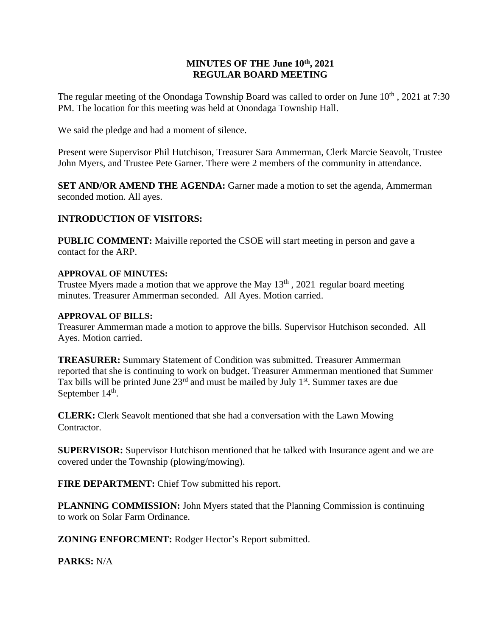## **MINUTES OF THE June 10th , 2021 REGULAR BOARD MEETING**

The regular meeting of the Onondaga Township Board was called to order on June  $10^{th}$ , 2021 at 7:30 PM. The location for this meeting was held at Onondaga Township Hall.

We said the pledge and had a moment of silence.

Present were Supervisor Phil Hutchison, Treasurer Sara Ammerman, Clerk Marcie Seavolt, Trustee John Myers, and Trustee Pete Garner. There were 2 members of the community in attendance.

**SET AND/OR AMEND THE AGENDA:** Garner made a motion to set the agenda, Ammerman seconded motion. All ayes.

# **INTRODUCTION OF VISITORS:**

**PUBLIC COMMENT:** Maiville reported the CSOE will start meeting in person and gave a contact for the ARP.

### **APPROVAL OF MINUTES:**

Trustee Myers made a motion that we approve the May  $13<sup>th</sup>$ , 2021 regular board meeting minutes. Treasurer Ammerman seconded. All Ayes. Motion carried.

### **APPROVAL OF BILLS:**

Treasurer Ammerman made a motion to approve the bills. Supervisor Hutchison seconded. All Ayes. Motion carried.

**TREASURER:** Summary Statement of Condition was submitted. Treasurer Ammerman reported that she is continuing to work on budget. Treasurer Ammerman mentioned that Summer Tax bills will be printed June 23<sup>rd</sup> and must be mailed by July 1<sup>st</sup>. Summer taxes are due September  $14<sup>th</sup>$ .

**CLERK:** Clerk Seavolt mentioned that she had a conversation with the Lawn Mowing Contractor.

**SUPERVISOR:** Supervisor Hutchison mentioned that he talked with Insurance agent and we are covered under the Township (plowing/mowing).

**FIRE DEPARTMENT:** Chief Tow submitted his report.

**PLANNING COMMISSION:** John Myers stated that the Planning Commission is continuing to work on Solar Farm Ordinance.

**ZONING ENFORCMENT:** Rodger Hector's Report submitted.

**PARKS:** N/A